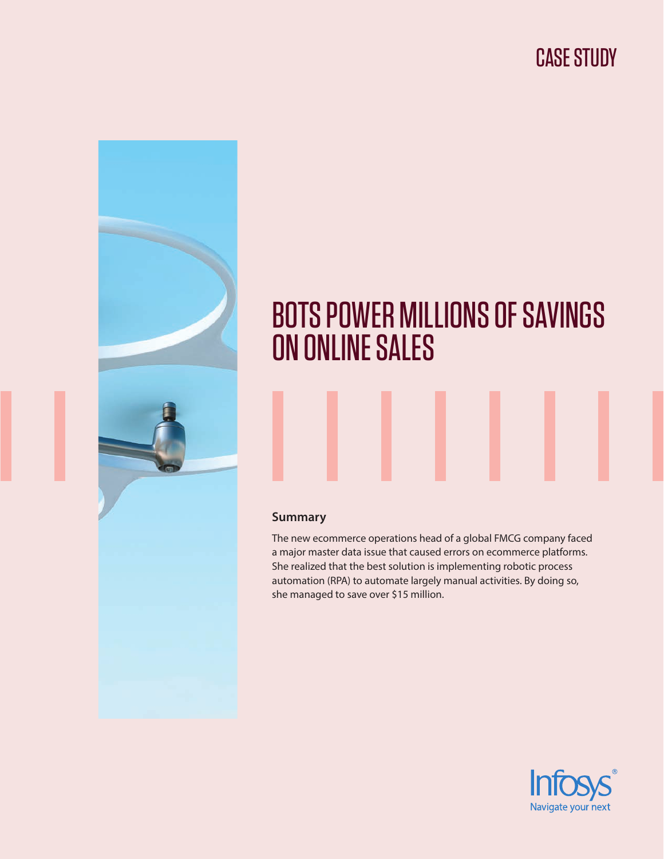# CASE STUDY



# BOTS POWER MILLIONS OF SAVINGS ON ONLINE SALES

#### **Summary**

The new ecommerce operations head of a global FMCG company faced a major master data issue that caused errors on ecommerce platforms. She realized that the best solution is implementing robotic process automation (RPA) to automate largely manual activities. By doing so, she managed to save over \$15 million.

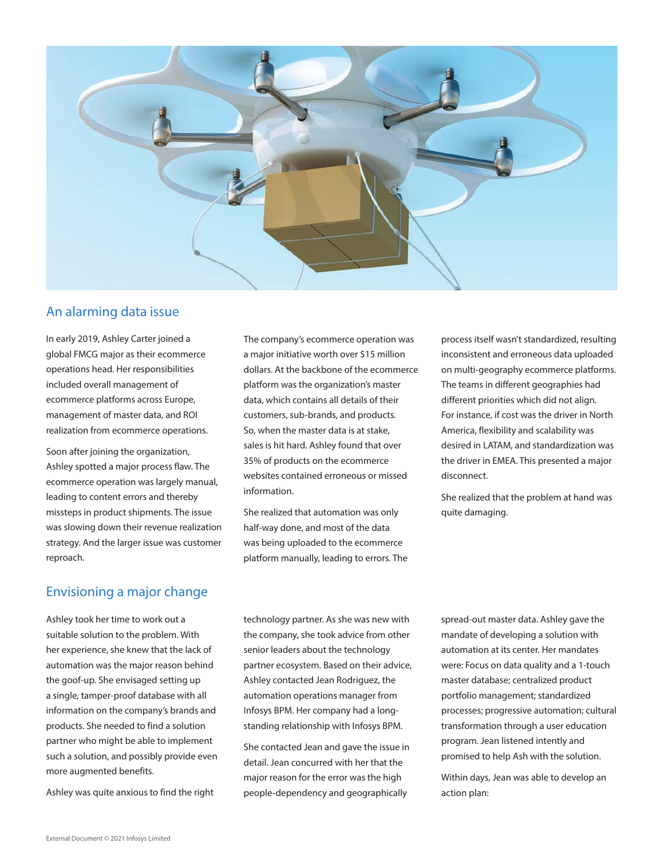

### An alarming data issue

In early 2019, Ashley Carter joined a global FMCG major as their ecommerce operations head. Her responsibilities included overall management of ecommerce platforms across Europe, management of master data, and ROI realization from ecommerce operations.

Soon after joining the organization, Ashley spotted a major process flaw. The ecommerce operation was largely manual, leading to content errors and thereby missteps in product shipments. The issue was slowing down their revenue realization strategy. And the larger issue was customer reproach.

## Envisioning a major change

Ashley took her time to work out a suitable solution to the problem. With her experience, she knew that the lack of automation was the major reason behind the goof-up. She envisaged setting up a single, tamper-proof database with all information on the company's brands and products. She needed to find a solution partner who might be able to implement such a solution, and possibly provide even more augmented benefits.

Ashley was quite anxious to find the right

The company's ecommerce operation was a major initiative worth over \$15 million dollars. At the backbone of the ecommerce platform was the organization's master data, which contains all details of their customers, sub-brands, and products. So, when the master data is at stake, sales is hit hard. Ashley found that over 35% of products on the ecommerce websites contained erroneous or missed information.

She realized that automation was only half-way done, and most of the data was being uploaded to the ecommerce platform manually, leading to errors. The process itself wasn't standardized, resulting inconsistent and erroneous data uploaded on multi-geography ecommerce platforms. The teams in different geographies had different priorities which did not align. For instance, if cost was the driver in North America, flexibility and scalability was desired in LATAM, and standardization was the driver in EMEA. This presented a major disconnect.

She realized that the problem at hand was quite damaging.

technology partner. As she was new with the company, she took advice from other senior leaders about the technology partner ecosystem. Based on their advice, Ashley contacted Jean Rodriguez, the automation operations manager from Infosys BPM. Her company had a longstanding relationship with Infosys BPM.

She contacted Jean and gave the issue in detail. Jean concurred with her that the major reason for the error was the high people-dependency and geographically

spread-out master data. Ashley gave the mandate of developing a solution with automation at its center. Her mandates were: Focus on data quality and a 1-touch master database; centralized product portfolio management; standardized processes; progressive automation; cultural transformation through a user education program. Jean listened intently and promised to help Ash with the solution.

Within days, Jean was able to develop an action plan: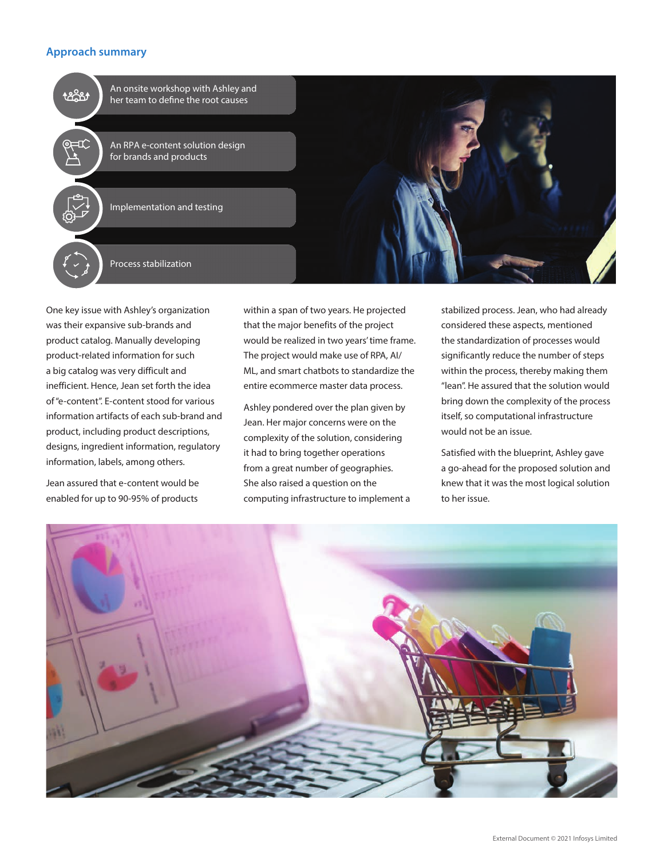#### **Approach summary**



One key issue with Ashley's organization was their expansive sub-brands and product catalog. Manually developing product-related information for such a big catalog was very difficult and inefficient. Hence, Jean set forth the idea of "e-content". E-content stood for various information artifacts of each sub-brand and product, including product descriptions, designs, ingredient information, regulatory information, labels, among others.

Jean assured that e-content would be enabled for up to 90-95% of products

within a span of two years. He projected that the major benefits of the project would be realized in two years' time frame. The project would make use of RPA, AI/ ML, and smart chatbots to standardize the entire ecommerce master data process.

Ashley pondered over the plan given by Jean. Her major concerns were on the complexity of the solution, considering it had to bring together operations from a great number of geographies. She also raised a question on the computing infrastructure to implement a

stabilized process. Jean, who had already considered these aspects, mentioned the standardization of processes would significantly reduce the number of steps within the process, thereby making them "lean". He assured that the solution would bring down the complexity of the process itself, so computational infrastructure would not be an issue.

Satisfied with the blueprint, Ashley gave a go-ahead for the proposed solution and knew that it was the most logical solution to her issue.